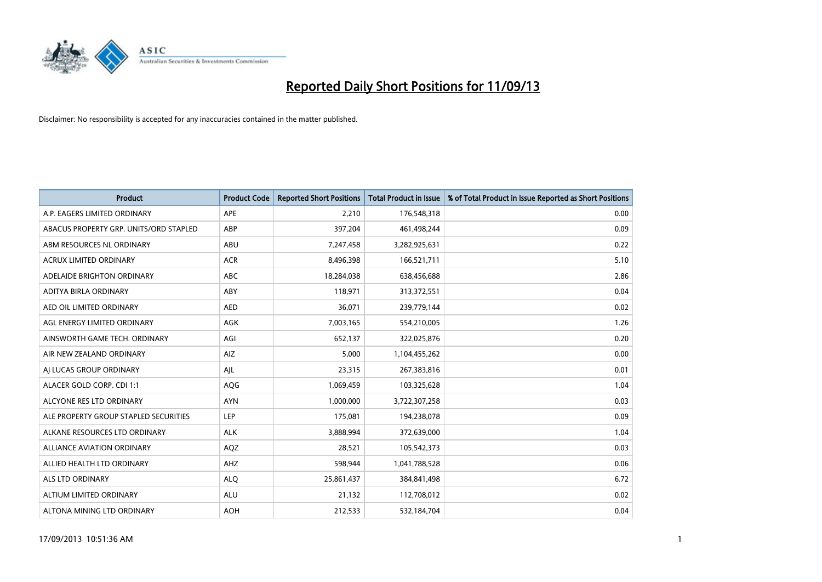

| <b>Product</b>                         | <b>Product Code</b> | <b>Reported Short Positions</b> | <b>Total Product in Issue</b> | % of Total Product in Issue Reported as Short Positions |
|----------------------------------------|---------------------|---------------------------------|-------------------------------|---------------------------------------------------------|
| A.P. EAGERS LIMITED ORDINARY           | APE                 | 2,210                           | 176,548,318                   | 0.00                                                    |
| ABACUS PROPERTY GRP. UNITS/ORD STAPLED | ABP                 | 397,204                         | 461,498,244                   | 0.09                                                    |
| ABM RESOURCES NL ORDINARY              | ABU                 | 7,247,458                       | 3,282,925,631                 | 0.22                                                    |
| <b>ACRUX LIMITED ORDINARY</b>          | <b>ACR</b>          | 8,496,398                       | 166,521,711                   | 5.10                                                    |
| ADELAIDE BRIGHTON ORDINARY             | <b>ABC</b>          | 18,284,038                      | 638,456,688                   | 2.86                                                    |
| ADITYA BIRLA ORDINARY                  | ABY                 | 118,971                         | 313,372,551                   | 0.04                                                    |
| AED OIL LIMITED ORDINARY               | <b>AED</b>          | 36,071                          | 239,779,144                   | 0.02                                                    |
| AGL ENERGY LIMITED ORDINARY            | AGK                 | 7,003,165                       | 554,210,005                   | 1.26                                                    |
| AINSWORTH GAME TECH. ORDINARY          | AGI                 | 652,137                         | 322,025,876                   | 0.20                                                    |
| AIR NEW ZEALAND ORDINARY               | <b>AIZ</b>          | 5,000                           | 1,104,455,262                 | 0.00                                                    |
| AJ LUCAS GROUP ORDINARY                | AJL                 | 23,315                          | 267,383,816                   | 0.01                                                    |
| ALACER GOLD CORP. CDI 1:1              | AQG                 | 1,069,459                       | 103,325,628                   | 1.04                                                    |
| ALCYONE RES LTD ORDINARY               | <b>AYN</b>          | 1,000,000                       | 3,722,307,258                 | 0.03                                                    |
| ALE PROPERTY GROUP STAPLED SECURITIES  | LEP                 | 175,081                         | 194,238,078                   | 0.09                                                    |
| ALKANE RESOURCES LTD ORDINARY          | <b>ALK</b>          | 3,888,994                       | 372,639,000                   | 1.04                                                    |
| ALLIANCE AVIATION ORDINARY             | AQZ                 | 28,521                          | 105,542,373                   | 0.03                                                    |
| ALLIED HEALTH LTD ORDINARY             | AHZ                 | 598,944                         | 1,041,788,528                 | 0.06                                                    |
| ALS LTD ORDINARY                       | <b>ALQ</b>          | 25,861,437                      | 384,841,498                   | 6.72                                                    |
| ALTIUM LIMITED ORDINARY                | <b>ALU</b>          | 21,132                          | 112,708,012                   | 0.02                                                    |
| ALTONA MINING LTD ORDINARY             | <b>AOH</b>          | 212,533                         | 532,184,704                   | 0.04                                                    |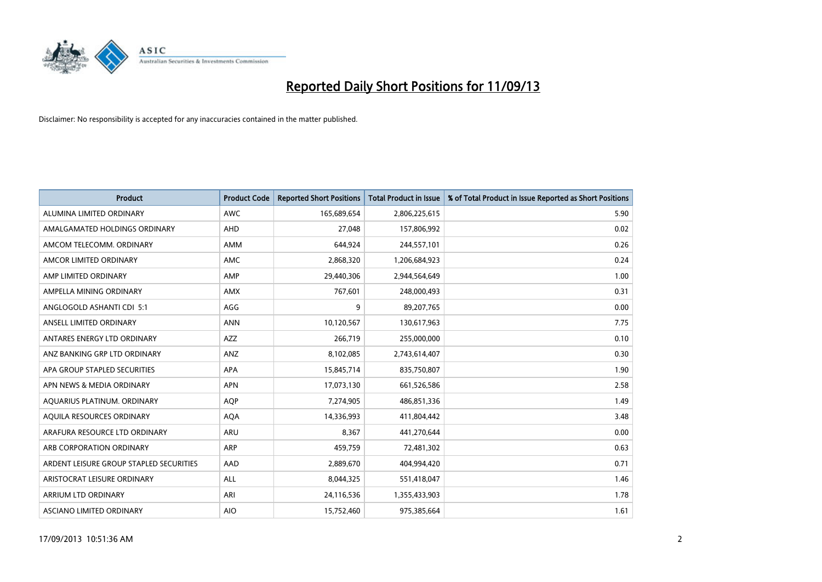

| <b>Product</b>                          | <b>Product Code</b> | <b>Reported Short Positions</b> | <b>Total Product in Issue</b> | % of Total Product in Issue Reported as Short Positions |
|-----------------------------------------|---------------------|---------------------------------|-------------------------------|---------------------------------------------------------|
| ALUMINA LIMITED ORDINARY                | <b>AWC</b>          | 165,689,654                     | 2,806,225,615                 | 5.90                                                    |
| AMALGAMATED HOLDINGS ORDINARY           | AHD                 | 27.048                          | 157,806,992                   | 0.02                                                    |
| AMCOM TELECOMM, ORDINARY                | AMM                 | 644,924                         | 244,557,101                   | 0.26                                                    |
| AMCOR LIMITED ORDINARY                  | AMC                 | 2,868,320                       | 1,206,684,923                 | 0.24                                                    |
| AMP LIMITED ORDINARY                    | AMP                 | 29,440,306                      | 2,944,564,649                 | 1.00                                                    |
| AMPELLA MINING ORDINARY                 | AMX                 | 767,601                         | 248,000,493                   | 0.31                                                    |
| ANGLOGOLD ASHANTI CDI 5:1               | AGG                 | 9                               | 89,207,765                    | 0.00                                                    |
| ANSELL LIMITED ORDINARY                 | <b>ANN</b>          | 10,120,567                      | 130,617,963                   | 7.75                                                    |
| ANTARES ENERGY LTD ORDINARY             | <b>AZZ</b>          | 266,719                         | 255,000,000                   | 0.10                                                    |
| ANZ BANKING GRP LTD ORDINARY            | ANZ                 | 8,102,085                       | 2,743,614,407                 | 0.30                                                    |
| APA GROUP STAPLED SECURITIES            | APA                 | 15,845,714                      | 835,750,807                   | 1.90                                                    |
| APN NEWS & MEDIA ORDINARY               | <b>APN</b>          | 17,073,130                      | 661,526,586                   | 2.58                                                    |
| AQUARIUS PLATINUM. ORDINARY             | <b>AOP</b>          | 7,274,905                       | 486,851,336                   | 1.49                                                    |
| AOUILA RESOURCES ORDINARY               | <b>AQA</b>          | 14,336,993                      | 411,804,442                   | 3.48                                                    |
| ARAFURA RESOURCE LTD ORDINARY           | ARU                 | 8,367                           | 441,270,644                   | 0.00                                                    |
| ARB CORPORATION ORDINARY                | <b>ARP</b>          | 459,759                         | 72,481,302                    | 0.63                                                    |
| ARDENT LEISURE GROUP STAPLED SECURITIES | AAD                 | 2,889,670                       | 404,994,420                   | 0.71                                                    |
| ARISTOCRAT LEISURE ORDINARY             | ALL                 | 8,044,325                       | 551,418,047                   | 1.46                                                    |
| ARRIUM LTD ORDINARY                     | ARI                 | 24,116,536                      | 1,355,433,903                 | 1.78                                                    |
| ASCIANO LIMITED ORDINARY                | <b>AIO</b>          | 15,752,460                      | 975,385,664                   | 1.61                                                    |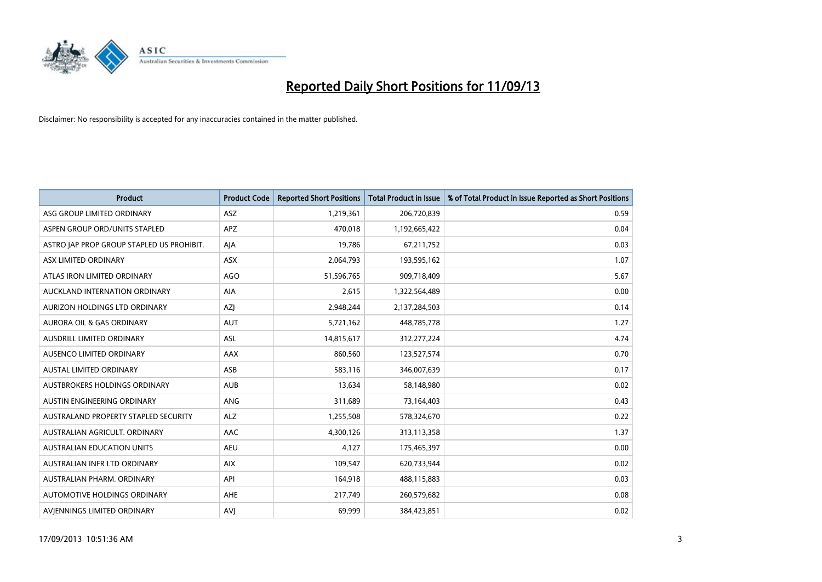

| <b>Product</b>                            | <b>Product Code</b> | <b>Reported Short Positions</b> | <b>Total Product in Issue</b> | % of Total Product in Issue Reported as Short Positions |
|-------------------------------------------|---------------------|---------------------------------|-------------------------------|---------------------------------------------------------|
| ASG GROUP LIMITED ORDINARY                | ASZ                 | 1,219,361                       | 206,720,839                   | 0.59                                                    |
| ASPEN GROUP ORD/UNITS STAPLED             | APZ                 | 470,018                         | 1,192,665,422                 | 0.04                                                    |
| ASTRO JAP PROP GROUP STAPLED US PROHIBIT. | AJA                 | 19,786                          | 67,211,752                    | 0.03                                                    |
| ASX LIMITED ORDINARY                      | ASX                 | 2,064,793                       | 193,595,162                   | 1.07                                                    |
| ATLAS IRON LIMITED ORDINARY               | <b>AGO</b>          | 51,596,765                      | 909,718,409                   | 5.67                                                    |
| AUCKLAND INTERNATION ORDINARY             | <b>AIA</b>          | 2,615                           | 1,322,564,489                 | 0.00                                                    |
| AURIZON HOLDINGS LTD ORDINARY             | AZJ                 | 2,948,244                       | 2,137,284,503                 | 0.14                                                    |
| AURORA OIL & GAS ORDINARY                 | <b>AUT</b>          | 5,721,162                       | 448,785,778                   | 1.27                                                    |
| <b>AUSDRILL LIMITED ORDINARY</b>          | <b>ASL</b>          | 14,815,617                      | 312,277,224                   | 4.74                                                    |
| AUSENCO LIMITED ORDINARY                  | AAX                 | 860,560                         | 123,527,574                   | 0.70                                                    |
| AUSTAL LIMITED ORDINARY                   | ASB                 | 583,116                         | 346,007,639                   | 0.17                                                    |
| AUSTBROKERS HOLDINGS ORDINARY             | <b>AUB</b>          | 13,634                          | 58,148,980                    | 0.02                                                    |
| AUSTIN ENGINEERING ORDINARY               | ANG                 | 311,689                         | 73,164,403                    | 0.43                                                    |
| AUSTRALAND PROPERTY STAPLED SECURITY      | <b>ALZ</b>          | 1,255,508                       | 578,324,670                   | 0.22                                                    |
| AUSTRALIAN AGRICULT, ORDINARY             | AAC                 | 4,300,126                       | 313,113,358                   | 1.37                                                    |
| AUSTRALIAN EDUCATION UNITS                | <b>AEU</b>          | 4,127                           | 175,465,397                   | 0.00                                                    |
| AUSTRALIAN INFR LTD ORDINARY              | <b>AIX</b>          | 109,547                         | 620,733,944                   | 0.02                                                    |
| AUSTRALIAN PHARM, ORDINARY                | API                 | 164,918                         | 488,115,883                   | 0.03                                                    |
| AUTOMOTIVE HOLDINGS ORDINARY              | AHE                 | 217,749                         | 260,579,682                   | 0.08                                                    |
| AVJENNINGS LIMITED ORDINARY               | <b>AVJ</b>          | 69,999                          | 384,423,851                   | 0.02                                                    |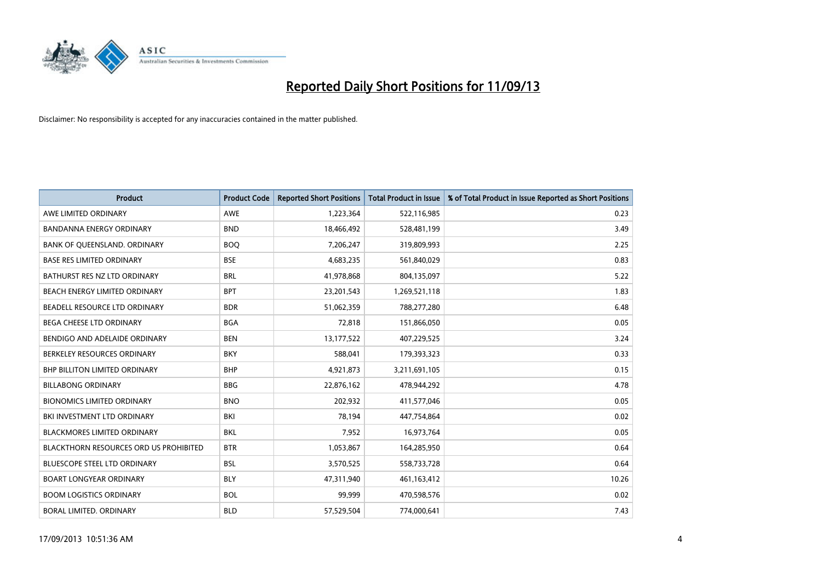

| <b>Product</b>                         | <b>Product Code</b> | <b>Reported Short Positions</b> | <b>Total Product in Issue</b> | % of Total Product in Issue Reported as Short Positions |
|----------------------------------------|---------------------|---------------------------------|-------------------------------|---------------------------------------------------------|
| AWE LIMITED ORDINARY                   | <b>AWE</b>          | 1,223,364                       | 522,116,985                   | 0.23                                                    |
| BANDANNA ENERGY ORDINARY               | <b>BND</b>          | 18,466,492                      | 528,481,199                   | 3.49                                                    |
| BANK OF QUEENSLAND. ORDINARY           | <b>BOQ</b>          | 7,206,247                       | 319,809,993                   | 2.25                                                    |
| <b>BASE RES LIMITED ORDINARY</b>       | <b>BSE</b>          | 4,683,235                       | 561,840,029                   | 0.83                                                    |
| BATHURST RES NZ LTD ORDINARY           | <b>BRL</b>          | 41,978,868                      | 804,135,097                   | 5.22                                                    |
| BEACH ENERGY LIMITED ORDINARY          | <b>BPT</b>          | 23,201,543                      | 1,269,521,118                 | 1.83                                                    |
| BEADELL RESOURCE LTD ORDINARY          | <b>BDR</b>          | 51,062,359                      | 788,277,280                   | 6.48                                                    |
| <b>BEGA CHEESE LTD ORDINARY</b>        | <b>BGA</b>          | 72,818                          | 151,866,050                   | 0.05                                                    |
| BENDIGO AND ADELAIDE ORDINARY          | <b>BEN</b>          | 13,177,522                      | 407,229,525                   | 3.24                                                    |
| BERKELEY RESOURCES ORDINARY            | <b>BKY</b>          | 588,041                         | 179,393,323                   | 0.33                                                    |
| <b>BHP BILLITON LIMITED ORDINARY</b>   | <b>BHP</b>          | 4,921,873                       | 3,211,691,105                 | 0.15                                                    |
| <b>BILLABONG ORDINARY</b>              | <b>BBG</b>          | 22,876,162                      | 478,944,292                   | 4.78                                                    |
| <b>BIONOMICS LIMITED ORDINARY</b>      | <b>BNO</b>          | 202,932                         | 411,577,046                   | 0.05                                                    |
| BKI INVESTMENT LTD ORDINARY            | BKI                 | 78,194                          | 447,754,864                   | 0.02                                                    |
| <b>BLACKMORES LIMITED ORDINARY</b>     | <b>BKL</b>          | 7,952                           | 16,973,764                    | 0.05                                                    |
| BLACKTHORN RESOURCES ORD US PROHIBITED | <b>BTR</b>          | 1,053,867                       | 164,285,950                   | 0.64                                                    |
| <b>BLUESCOPE STEEL LTD ORDINARY</b>    | <b>BSL</b>          | 3,570,525                       | 558,733,728                   | 0.64                                                    |
| <b>BOART LONGYEAR ORDINARY</b>         | <b>BLY</b>          | 47,311,940                      | 461,163,412                   | 10.26                                                   |
| <b>BOOM LOGISTICS ORDINARY</b>         | <b>BOL</b>          | 99.999                          | 470,598,576                   | 0.02                                                    |
| <b>BORAL LIMITED, ORDINARY</b>         | <b>BLD</b>          | 57,529,504                      | 774,000,641                   | 7.43                                                    |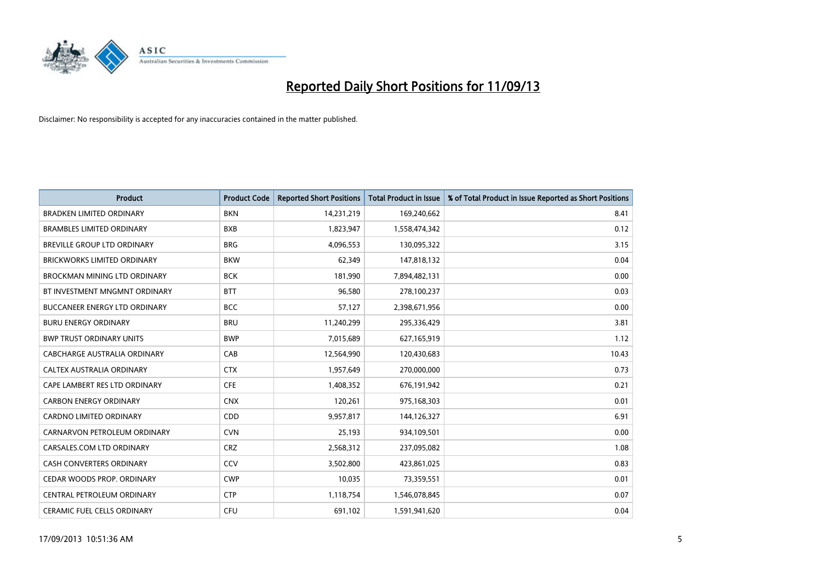

| <b>Product</b>                       | <b>Product Code</b> | <b>Reported Short Positions</b> | <b>Total Product in Issue</b> | % of Total Product in Issue Reported as Short Positions |
|--------------------------------------|---------------------|---------------------------------|-------------------------------|---------------------------------------------------------|
| BRADKEN LIMITED ORDINARY             | <b>BKN</b>          | 14,231,219                      | 169,240,662                   | 8.41                                                    |
| <b>BRAMBLES LIMITED ORDINARY</b>     | <b>BXB</b>          | 1,823,947                       | 1,558,474,342                 | 0.12                                                    |
| <b>BREVILLE GROUP LTD ORDINARY</b>   | <b>BRG</b>          | 4,096,553                       | 130,095,322                   | 3.15                                                    |
| BRICKWORKS LIMITED ORDINARY          | <b>BKW</b>          | 62,349                          | 147,818,132                   | 0.04                                                    |
| <b>BROCKMAN MINING LTD ORDINARY</b>  | <b>BCK</b>          | 181,990                         | 7,894,482,131                 | 0.00                                                    |
| BT INVESTMENT MNGMNT ORDINARY        | <b>BTT</b>          | 96,580                          | 278,100,237                   | 0.03                                                    |
| <b>BUCCANEER ENERGY LTD ORDINARY</b> | <b>BCC</b>          | 57.127                          | 2,398,671,956                 | 0.00                                                    |
| <b>BURU ENERGY ORDINARY</b>          | <b>BRU</b>          | 11,240,299                      | 295,336,429                   | 3.81                                                    |
| <b>BWP TRUST ORDINARY UNITS</b>      | <b>BWP</b>          | 7,015,689                       | 627,165,919                   | 1.12                                                    |
| CABCHARGE AUSTRALIA ORDINARY         | CAB                 | 12,564,990                      | 120,430,683                   | 10.43                                                   |
| CALTEX AUSTRALIA ORDINARY            | <b>CTX</b>          | 1,957,649                       | 270,000,000                   | 0.73                                                    |
| CAPE LAMBERT RES LTD ORDINARY        | <b>CFE</b>          | 1,408,352                       | 676,191,942                   | 0.21                                                    |
| <b>CARBON ENERGY ORDINARY</b>        | <b>CNX</b>          | 120,261                         | 975,168,303                   | 0.01                                                    |
| <b>CARDNO LIMITED ORDINARY</b>       | CDD                 | 9,957,817                       | 144,126,327                   | 6.91                                                    |
| CARNARVON PETROLEUM ORDINARY         | <b>CVN</b>          | 25,193                          | 934,109,501                   | 0.00                                                    |
| CARSALES.COM LTD ORDINARY            | <b>CRZ</b>          | 2,568,312                       | 237,095,082                   | 1.08                                                    |
| <b>CASH CONVERTERS ORDINARY</b>      | CCV                 | 3,502,800                       | 423,861,025                   | 0.83                                                    |
| CEDAR WOODS PROP. ORDINARY           | <b>CWP</b>          | 10,035                          | 73,359,551                    | 0.01                                                    |
| CENTRAL PETROLEUM ORDINARY           | <b>CTP</b>          | 1,118,754                       | 1,546,078,845                 | 0.07                                                    |
| <b>CERAMIC FUEL CELLS ORDINARY</b>   | <b>CFU</b>          | 691,102                         | 1,591,941,620                 | 0.04                                                    |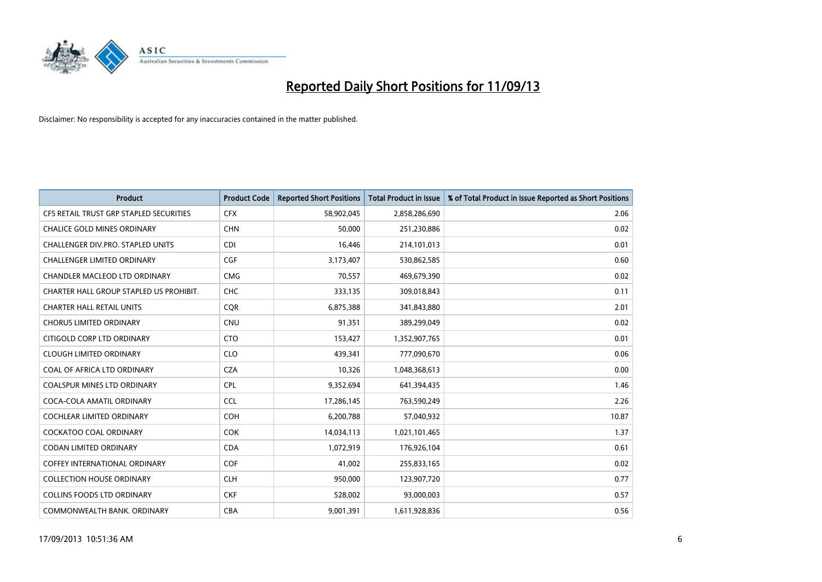

| <b>Product</b>                          | <b>Product Code</b> | <b>Reported Short Positions</b> | <b>Total Product in Issue</b> | % of Total Product in Issue Reported as Short Positions |
|-----------------------------------------|---------------------|---------------------------------|-------------------------------|---------------------------------------------------------|
| CFS RETAIL TRUST GRP STAPLED SECURITIES | <b>CFX</b>          | 58,902,045                      | 2,858,286,690                 | 2.06                                                    |
| CHALICE GOLD MINES ORDINARY             | <b>CHN</b>          | 50,000                          | 251,230,886                   | 0.02                                                    |
| CHALLENGER DIV.PRO. STAPLED UNITS       | <b>CDI</b>          | 16,446                          | 214,101,013                   | 0.01                                                    |
| <b>CHALLENGER LIMITED ORDINARY</b>      | <b>CGF</b>          | 3,173,407                       | 530,862,585                   | 0.60                                                    |
| CHANDLER MACLEOD LTD ORDINARY           | <b>CMG</b>          | 70,557                          | 469,679,390                   | 0.02                                                    |
| CHARTER HALL GROUP STAPLED US PROHIBIT. | <b>CHC</b>          | 333,135                         | 309,018,843                   | 0.11                                                    |
| <b>CHARTER HALL RETAIL UNITS</b>        | <b>COR</b>          | 6,875,388                       | 341,843,880                   | 2.01                                                    |
| <b>CHORUS LIMITED ORDINARY</b>          | <b>CNU</b>          | 91,351                          | 389,299,049                   | 0.02                                                    |
| CITIGOLD CORP LTD ORDINARY              | <b>CTO</b>          | 153,427                         | 1,352,907,765                 | 0.01                                                    |
| <b>CLOUGH LIMITED ORDINARY</b>          | <b>CLO</b>          | 439,341                         | 777,090,670                   | 0.06                                                    |
| COAL OF AFRICA LTD ORDINARY             | <b>CZA</b>          | 10,326                          | 1,048,368,613                 | 0.00                                                    |
| COALSPUR MINES LTD ORDINARY             | <b>CPL</b>          | 9,352,694                       | 641,394,435                   | 1.46                                                    |
| COCA-COLA AMATIL ORDINARY               | <b>CCL</b>          | 17,286,145                      | 763,590,249                   | 2.26                                                    |
| <b>COCHLEAR LIMITED ORDINARY</b>        | <b>COH</b>          | 6,200,788                       | 57,040,932                    | 10.87                                                   |
| <b>COCKATOO COAL ORDINARY</b>           | <b>COK</b>          | 14,034,113                      | 1,021,101,465                 | 1.37                                                    |
| CODAN LIMITED ORDINARY                  | <b>CDA</b>          | 1,072,919                       | 176,926,104                   | 0.61                                                    |
| COFFEY INTERNATIONAL ORDINARY           | <b>COF</b>          | 41,002                          | 255,833,165                   | 0.02                                                    |
| <b>COLLECTION HOUSE ORDINARY</b>        | <b>CLH</b>          | 950,000                         | 123,907,720                   | 0.77                                                    |
| <b>COLLINS FOODS LTD ORDINARY</b>       | <b>CKF</b>          | 528,002                         | 93,000,003                    | 0.57                                                    |
| COMMONWEALTH BANK, ORDINARY             | <b>CBA</b>          | 9,001,391                       | 1,611,928,836                 | 0.56                                                    |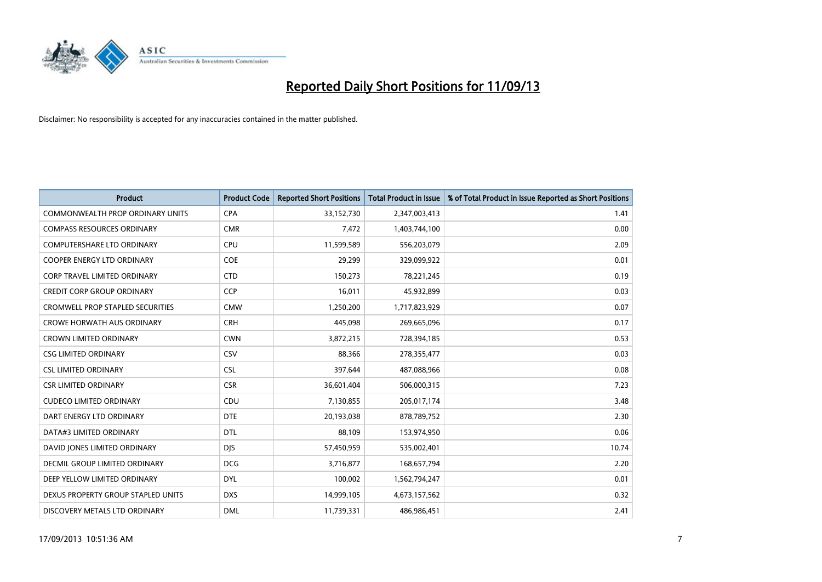

| <b>Product</b>                          | <b>Product Code</b> | <b>Reported Short Positions</b> | <b>Total Product in Issue</b> | % of Total Product in Issue Reported as Short Positions |
|-----------------------------------------|---------------------|---------------------------------|-------------------------------|---------------------------------------------------------|
| <b>COMMONWEALTH PROP ORDINARY UNITS</b> | <b>CPA</b>          | 33,152,730                      | 2,347,003,413                 | 1.41                                                    |
| <b>COMPASS RESOURCES ORDINARY</b>       | <b>CMR</b>          | 7,472                           | 1,403,744,100                 | 0.00                                                    |
| <b>COMPUTERSHARE LTD ORDINARY</b>       | <b>CPU</b>          | 11,599,589                      | 556,203,079                   | 2.09                                                    |
| COOPER ENERGY LTD ORDINARY              | <b>COE</b>          | 29,299                          | 329,099,922                   | 0.01                                                    |
| <b>CORP TRAVEL LIMITED ORDINARY</b>     | <b>CTD</b>          | 150,273                         | 78,221,245                    | 0.19                                                    |
| <b>CREDIT CORP GROUP ORDINARY</b>       | <b>CCP</b>          | 16,011                          | 45,932,899                    | 0.03                                                    |
| CROMWELL PROP STAPLED SECURITIES        | <b>CMW</b>          | 1,250,200                       | 1,717,823,929                 | 0.07                                                    |
| <b>CROWE HORWATH AUS ORDINARY</b>       | <b>CRH</b>          | 445,098                         | 269,665,096                   | 0.17                                                    |
| <b>CROWN LIMITED ORDINARY</b>           | <b>CWN</b>          | 3,872,215                       | 728,394,185                   | 0.53                                                    |
| <b>CSG LIMITED ORDINARY</b>             | CSV                 | 88,366                          | 278,355,477                   | 0.03                                                    |
| <b>CSL LIMITED ORDINARY</b>             | <b>CSL</b>          | 397,644                         | 487,088,966                   | 0.08                                                    |
| <b>CSR LIMITED ORDINARY</b>             | <b>CSR</b>          | 36,601,404                      | 506,000,315                   | 7.23                                                    |
| <b>CUDECO LIMITED ORDINARY</b>          | CDU                 | 7,130,855                       | 205,017,174                   | 3.48                                                    |
| DART ENERGY LTD ORDINARY                | <b>DTE</b>          | 20,193,038                      | 878,789,752                   | 2.30                                                    |
| DATA#3 LIMITED ORDINARY                 | <b>DTL</b>          | 88,109                          | 153,974,950                   | 0.06                                                    |
| DAVID JONES LIMITED ORDINARY            | <b>DIS</b>          | 57,450,959                      | 535,002,401                   | 10.74                                                   |
| DECMIL GROUP LIMITED ORDINARY           | <b>DCG</b>          | 3,716,877                       | 168,657,794                   | 2.20                                                    |
| DEEP YELLOW LIMITED ORDINARY            | <b>DYL</b>          | 100,002                         | 1,562,794,247                 | 0.01                                                    |
| DEXUS PROPERTY GROUP STAPLED UNITS      | <b>DXS</b>          | 14,999,105                      | 4,673,157,562                 | 0.32                                                    |
| DISCOVERY METALS LTD ORDINARY           | <b>DML</b>          | 11,739,331                      | 486,986,451                   | 2.41                                                    |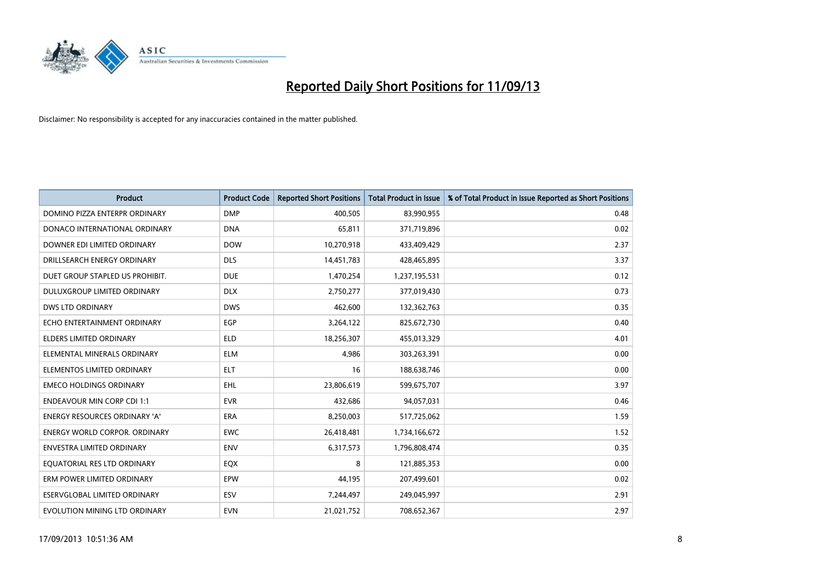

| <b>Product</b>                       | <b>Product Code</b> | <b>Reported Short Positions</b> | <b>Total Product in Issue</b> | % of Total Product in Issue Reported as Short Positions |
|--------------------------------------|---------------------|---------------------------------|-------------------------------|---------------------------------------------------------|
| DOMINO PIZZA ENTERPR ORDINARY        | <b>DMP</b>          | 400,505                         | 83,990,955                    | 0.48                                                    |
| DONACO INTERNATIONAL ORDINARY        | <b>DNA</b>          | 65,811                          | 371,719,896                   | 0.02                                                    |
| DOWNER EDI LIMITED ORDINARY          | <b>DOW</b>          | 10,270,918                      | 433,409,429                   | 2.37                                                    |
| DRILLSEARCH ENERGY ORDINARY          | <b>DLS</b>          | 14,451,783                      | 428,465,895                   | 3.37                                                    |
| DUET GROUP STAPLED US PROHIBIT.      | <b>DUE</b>          | 1,470,254                       | 1,237,195,531                 | 0.12                                                    |
| DULUXGROUP LIMITED ORDINARY          | <b>DLX</b>          | 2,750,277                       | 377,019,430                   | 0.73                                                    |
| <b>DWS LTD ORDINARY</b>              | <b>DWS</b>          | 462,600                         | 132,362,763                   | 0.35                                                    |
| ECHO ENTERTAINMENT ORDINARY          | <b>EGP</b>          | 3,264,122                       | 825,672,730                   | 0.40                                                    |
| ELDERS LIMITED ORDINARY              | <b>ELD</b>          | 18,256,307                      | 455,013,329                   | 4.01                                                    |
| ELEMENTAL MINERALS ORDINARY          | <b>ELM</b>          | 4,986                           | 303,263,391                   | 0.00                                                    |
| ELEMENTOS LIMITED ORDINARY           | <b>ELT</b>          | 16                              | 188,638,746                   | 0.00                                                    |
| <b>EMECO HOLDINGS ORDINARY</b>       | <b>EHL</b>          | 23,806,619                      | 599,675,707                   | 3.97                                                    |
| <b>ENDEAVOUR MIN CORP CDI 1:1</b>    | <b>EVR</b>          | 432,686                         | 94,057,031                    | 0.46                                                    |
| <b>ENERGY RESOURCES ORDINARY 'A'</b> | <b>ERA</b>          | 8,250,003                       | 517,725,062                   | 1.59                                                    |
| <b>ENERGY WORLD CORPOR, ORDINARY</b> | <b>EWC</b>          | 26,418,481                      | 1,734,166,672                 | 1.52                                                    |
| <b>ENVESTRA LIMITED ORDINARY</b>     | <b>ENV</b>          | 6,317,573                       | 1,796,808,474                 | 0.35                                                    |
| EQUATORIAL RES LTD ORDINARY          | EQX                 | 8                               | 121,885,353                   | 0.00                                                    |
| ERM POWER LIMITED ORDINARY           | EPW                 | 44,195                          | 207,499,601                   | 0.02                                                    |
| <b>ESERVGLOBAL LIMITED ORDINARY</b>  | ESV                 | 7,244,497                       | 249,045,997                   | 2.91                                                    |
| EVOLUTION MINING LTD ORDINARY        | <b>EVN</b>          | 21,021,752                      | 708,652,367                   | 2.97                                                    |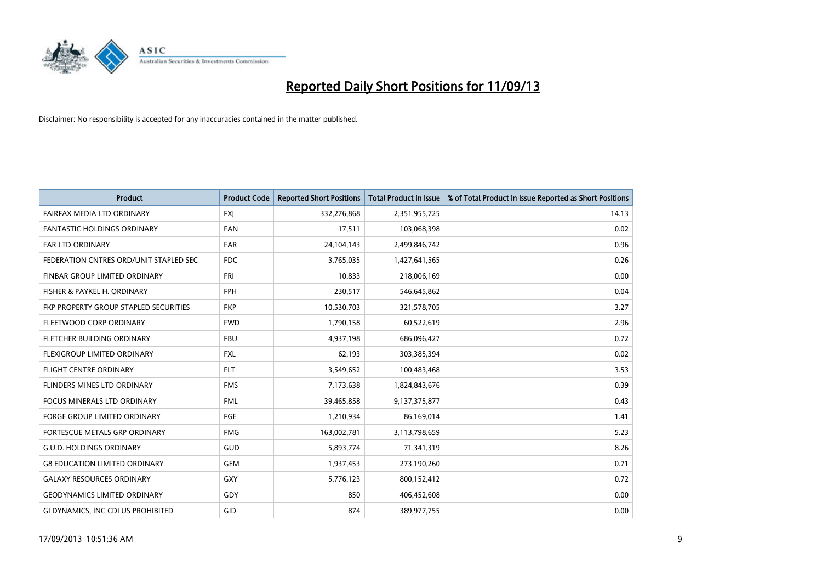

| <b>Product</b>                         | <b>Product Code</b> | <b>Reported Short Positions</b> | <b>Total Product in Issue</b> | % of Total Product in Issue Reported as Short Positions |
|----------------------------------------|---------------------|---------------------------------|-------------------------------|---------------------------------------------------------|
| FAIRFAX MEDIA LTD ORDINARY             | <b>FXJ</b>          | 332,276,868                     | 2,351,955,725                 | 14.13                                                   |
| <b>FANTASTIC HOLDINGS ORDINARY</b>     | <b>FAN</b>          | 17,511                          | 103,068,398                   | 0.02                                                    |
| <b>FAR LTD ORDINARY</b>                | <b>FAR</b>          | 24,104,143                      | 2,499,846,742                 | 0.96                                                    |
| FEDERATION CNTRES ORD/UNIT STAPLED SEC | <b>FDC</b>          | 3,765,035                       | 1,427,641,565                 | 0.26                                                    |
| <b>FINBAR GROUP LIMITED ORDINARY</b>   | <b>FRI</b>          | 10,833                          | 218,006,169                   | 0.00                                                    |
| FISHER & PAYKEL H. ORDINARY            | <b>FPH</b>          | 230,517                         | 546,645,862                   | 0.04                                                    |
| FKP PROPERTY GROUP STAPLED SECURITIES  | <b>FKP</b>          | 10,530,703                      | 321,578,705                   | 3.27                                                    |
| FLEETWOOD CORP ORDINARY                | <b>FWD</b>          | 1,790,158                       | 60,522,619                    | 2.96                                                    |
| FLETCHER BUILDING ORDINARY             | <b>FBU</b>          | 4,937,198                       | 686,096,427                   | 0.72                                                    |
| FLEXIGROUP LIMITED ORDINARY            | <b>FXL</b>          | 62,193                          | 303,385,394                   | 0.02                                                    |
| FLIGHT CENTRE ORDINARY                 | <b>FLT</b>          | 3,549,652                       | 100,483,468                   | 3.53                                                    |
| FLINDERS MINES LTD ORDINARY            | <b>FMS</b>          | 7,173,638                       | 1,824,843,676                 | 0.39                                                    |
| <b>FOCUS MINERALS LTD ORDINARY</b>     | <b>FML</b>          | 39,465,858                      | 9,137,375,877                 | 0.43                                                    |
| <b>FORGE GROUP LIMITED ORDINARY</b>    | FGE                 | 1,210,934                       | 86,169,014                    | 1.41                                                    |
| FORTESCUE METALS GRP ORDINARY          | <b>FMG</b>          | 163,002,781                     | 3,113,798,659                 | 5.23                                                    |
| <b>G.U.D. HOLDINGS ORDINARY</b>        | GUD                 | 5,893,774                       | 71,341,319                    | 8.26                                                    |
| <b>G8 EDUCATION LIMITED ORDINARY</b>   | <b>GEM</b>          | 1,937,453                       | 273,190,260                   | 0.71                                                    |
| <b>GALAXY RESOURCES ORDINARY</b>       | GXY                 | 5,776,123                       | 800,152,412                   | 0.72                                                    |
| <b>GEODYNAMICS LIMITED ORDINARY</b>    | GDY                 | 850                             | 406,452,608                   | 0.00                                                    |
| GI DYNAMICS, INC CDI US PROHIBITED     | GID                 | 874                             | 389,977,755                   | 0.00                                                    |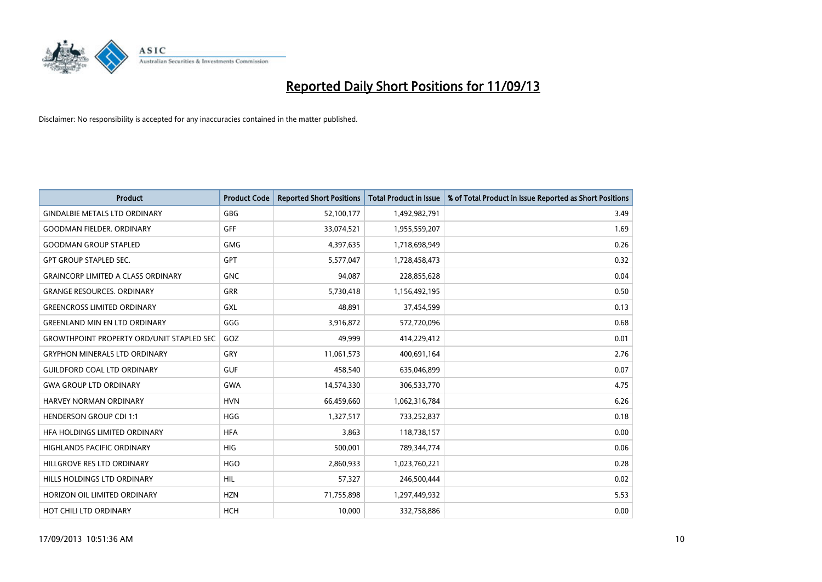

| <b>Product</b>                                   | <b>Product Code</b> | <b>Reported Short Positions</b> | <b>Total Product in Issue</b> | % of Total Product in Issue Reported as Short Positions |
|--------------------------------------------------|---------------------|---------------------------------|-------------------------------|---------------------------------------------------------|
| <b>GINDALBIE METALS LTD ORDINARY</b>             | <b>GBG</b>          | 52,100,177                      | 1,492,982,791                 | 3.49                                                    |
| <b>GOODMAN FIELDER, ORDINARY</b>                 | <b>GFF</b>          | 33,074,521                      | 1,955,559,207                 | 1.69                                                    |
| <b>GOODMAN GROUP STAPLED</b>                     | <b>GMG</b>          | 4,397,635                       | 1,718,698,949                 | 0.26                                                    |
| <b>GPT GROUP STAPLED SEC.</b>                    | GPT                 | 5,577,047                       | 1,728,458,473                 | 0.32                                                    |
| <b>GRAINCORP LIMITED A CLASS ORDINARY</b>        | <b>GNC</b>          | 94,087                          | 228,855,628                   | 0.04                                                    |
| <b>GRANGE RESOURCES, ORDINARY</b>                | <b>GRR</b>          | 5,730,418                       | 1,156,492,195                 | 0.50                                                    |
| <b>GREENCROSS LIMITED ORDINARY</b>               | GXL                 | 48,891                          | 37,454,599                    | 0.13                                                    |
| <b>GREENLAND MIN EN LTD ORDINARY</b>             | GGG                 | 3,916,872                       | 572,720,096                   | 0.68                                                    |
| <b>GROWTHPOINT PROPERTY ORD/UNIT STAPLED SEC</b> | GOZ                 | 49,999                          | 414,229,412                   | 0.01                                                    |
| <b>GRYPHON MINERALS LTD ORDINARY</b>             | GRY                 | 11,061,573                      | 400,691,164                   | 2.76                                                    |
| <b>GUILDFORD COAL LTD ORDINARY</b>               | <b>GUF</b>          | 458,540                         | 635,046,899                   | 0.07                                                    |
| <b>GWA GROUP LTD ORDINARY</b>                    | <b>GWA</b>          | 14,574,330                      | 306,533,770                   | 4.75                                                    |
| HARVEY NORMAN ORDINARY                           | <b>HVN</b>          | 66,459,660                      | 1,062,316,784                 | 6.26                                                    |
| <b>HENDERSON GROUP CDI 1:1</b>                   | <b>HGG</b>          | 1,327,517                       | 733,252,837                   | 0.18                                                    |
| HFA HOLDINGS LIMITED ORDINARY                    | <b>HFA</b>          | 3.863                           | 118,738,157                   | 0.00                                                    |
| HIGHLANDS PACIFIC ORDINARY                       | <b>HIG</b>          | 500,001                         | 789,344,774                   | 0.06                                                    |
| HILLGROVE RES LTD ORDINARY                       | <b>HGO</b>          | 2,860,933                       | 1,023,760,221                 | 0.28                                                    |
| HILLS HOLDINGS LTD ORDINARY                      | <b>HIL</b>          | 57,327                          | 246,500,444                   | 0.02                                                    |
| HORIZON OIL LIMITED ORDINARY                     | <b>HZN</b>          | 71,755,898                      | 1,297,449,932                 | 5.53                                                    |
| HOT CHILI LTD ORDINARY                           | <b>HCH</b>          | 10,000                          | 332,758,886                   | 0.00                                                    |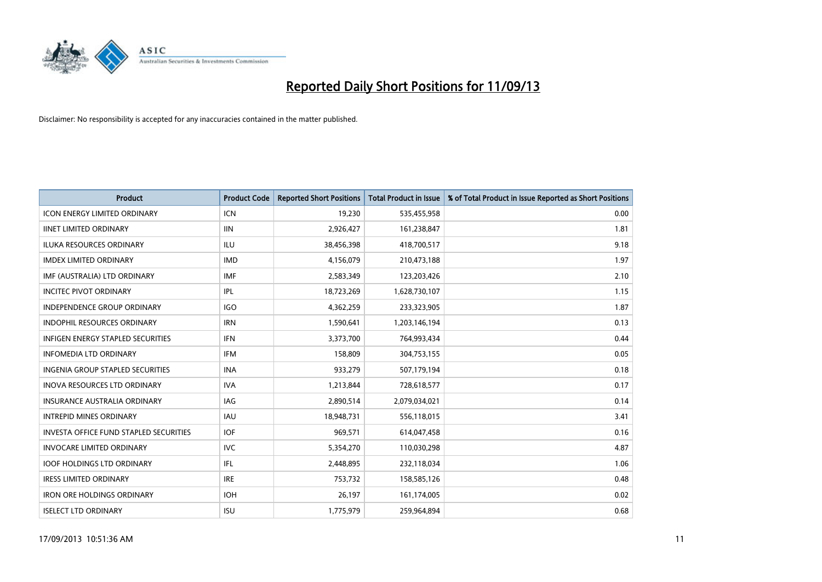

| <b>Product</b>                           | <b>Product Code</b> | <b>Reported Short Positions</b> | <b>Total Product in Issue</b> | % of Total Product in Issue Reported as Short Positions |
|------------------------------------------|---------------------|---------------------------------|-------------------------------|---------------------------------------------------------|
| <b>ICON ENERGY LIMITED ORDINARY</b>      | <b>ICN</b>          | 19,230                          | 535,455,958                   | 0.00                                                    |
| <b>IINET LIMITED ORDINARY</b>            | <b>IIN</b>          | 2,926,427                       | 161,238,847                   | 1.81                                                    |
| <b>ILUKA RESOURCES ORDINARY</b>          | ILU                 | 38,456,398                      | 418,700,517                   | 9.18                                                    |
| <b>IMDEX LIMITED ORDINARY</b>            | <b>IMD</b>          | 4,156,079                       | 210,473,188                   | 1.97                                                    |
| IMF (AUSTRALIA) LTD ORDINARY             | <b>IMF</b>          | 2,583,349                       | 123,203,426                   | 2.10                                                    |
| <b>INCITEC PIVOT ORDINARY</b>            | IPL                 | 18,723,269                      | 1,628,730,107                 | 1.15                                                    |
| <b>INDEPENDENCE GROUP ORDINARY</b>       | IGO                 | 4,362,259                       | 233,323,905                   | 1.87                                                    |
| INDOPHIL RESOURCES ORDINARY              | <b>IRN</b>          | 1,590,641                       | 1,203,146,194                 | 0.13                                                    |
| <b>INFIGEN ENERGY STAPLED SECURITIES</b> | <b>IFN</b>          | 3,373,700                       | 764,993,434                   | 0.44                                                    |
| <b>INFOMEDIA LTD ORDINARY</b>            | IFM                 | 158,809                         | 304,753,155                   | 0.05                                                    |
| <b>INGENIA GROUP STAPLED SECURITIES</b>  | <b>INA</b>          | 933,279                         | 507,179,194                   | 0.18                                                    |
| <b>INOVA RESOURCES LTD ORDINARY</b>      | <b>IVA</b>          | 1,213,844                       | 728,618,577                   | 0.17                                                    |
| <b>INSURANCE AUSTRALIA ORDINARY</b>      | <b>IAG</b>          | 2,890,514                       | 2,079,034,021                 | 0.14                                                    |
| <b>INTREPID MINES ORDINARY</b>           | <b>IAU</b>          | 18,948,731                      | 556,118,015                   | 3.41                                                    |
| INVESTA OFFICE FUND STAPLED SECURITIES   | <b>IOF</b>          | 969,571                         | 614,047,458                   | 0.16                                                    |
| <b>INVOCARE LIMITED ORDINARY</b>         | <b>IVC</b>          | 5,354,270                       | 110,030,298                   | 4.87                                                    |
| <b>IOOF HOLDINGS LTD ORDINARY</b>        | IFL                 | 2,448,895                       | 232,118,034                   | 1.06                                                    |
| <b>IRESS LIMITED ORDINARY</b>            | <b>IRE</b>          | 753,732                         | 158,585,126                   | 0.48                                                    |
| <b>IRON ORE HOLDINGS ORDINARY</b>        | <b>IOH</b>          | 26,197                          | 161,174,005                   | 0.02                                                    |
| <b>ISELECT LTD ORDINARY</b>              | <b>ISU</b>          | 1,775,979                       | 259,964,894                   | 0.68                                                    |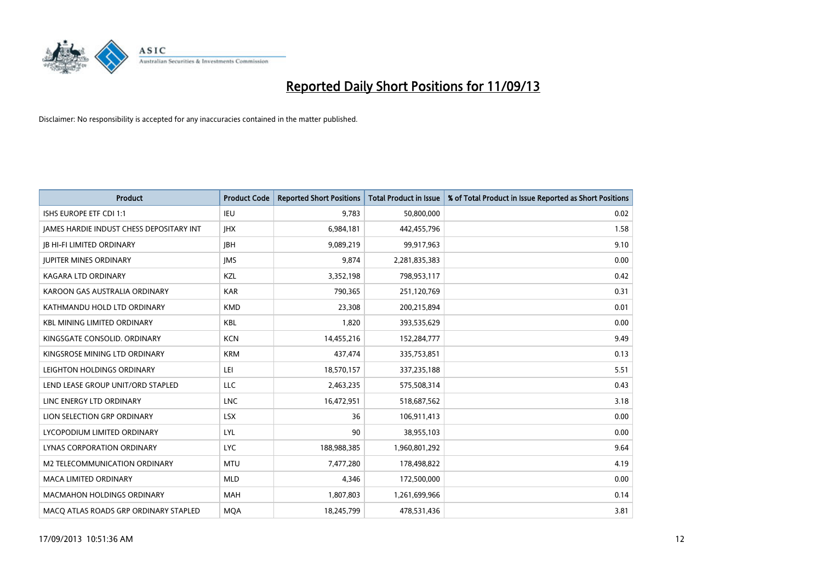

| <b>Product</b>                           | <b>Product Code</b> | <b>Reported Short Positions</b> | <b>Total Product in Issue</b> | % of Total Product in Issue Reported as Short Positions |
|------------------------------------------|---------------------|---------------------------------|-------------------------------|---------------------------------------------------------|
| ISHS EUROPE ETF CDI 1:1                  | <b>IEU</b>          | 9,783                           | 50,800,000                    | 0.02                                                    |
| JAMES HARDIE INDUST CHESS DEPOSITARY INT | <b>IHX</b>          | 6,984,181                       | 442,455,796                   | 1.58                                                    |
| <b>JB HI-FI LIMITED ORDINARY</b>         | <b>IBH</b>          | 9,089,219                       | 99,917,963                    | 9.10                                                    |
| <b>JUPITER MINES ORDINARY</b>            | <b>IMS</b>          | 9,874                           | 2,281,835,383                 | 0.00                                                    |
| <b>KAGARA LTD ORDINARY</b>               | <b>KZL</b>          | 3,352,198                       | 798,953,117                   | 0.42                                                    |
| KAROON GAS AUSTRALIA ORDINARY            | <b>KAR</b>          | 790,365                         | 251,120,769                   | 0.31                                                    |
| KATHMANDU HOLD LTD ORDINARY              | <b>KMD</b>          | 23,308                          | 200,215,894                   | 0.01                                                    |
| <b>KBL MINING LIMITED ORDINARY</b>       | <b>KBL</b>          | 1,820                           | 393,535,629                   | 0.00                                                    |
| KINGSGATE CONSOLID. ORDINARY             | <b>KCN</b>          | 14,455,216                      | 152,284,777                   | 9.49                                                    |
| KINGSROSE MINING LTD ORDINARY            | <b>KRM</b>          | 437,474                         | 335,753,851                   | 0.13                                                    |
| LEIGHTON HOLDINGS ORDINARY               | LEI                 | 18,570,157                      | 337,235,188                   | 5.51                                                    |
| LEND LEASE GROUP UNIT/ORD STAPLED        | LLC                 | 2,463,235                       | 575,508,314                   | 0.43                                                    |
| LINC ENERGY LTD ORDINARY                 | <b>LNC</b>          | 16,472,951                      | 518,687,562                   | 3.18                                                    |
| LION SELECTION GRP ORDINARY              | <b>LSX</b>          | 36                              | 106,911,413                   | 0.00                                                    |
| LYCOPODIUM LIMITED ORDINARY              | LYL                 | 90                              | 38,955,103                    | 0.00                                                    |
| <b>LYNAS CORPORATION ORDINARY</b>        | <b>LYC</b>          | 188,988,385                     | 1,960,801,292                 | 9.64                                                    |
| M2 TELECOMMUNICATION ORDINARY            | <b>MTU</b>          | 7,477,280                       | 178,498,822                   | 4.19                                                    |
| <b>MACA LIMITED ORDINARY</b>             | <b>MLD</b>          | 4,346                           | 172,500,000                   | 0.00                                                    |
| <b>MACMAHON HOLDINGS ORDINARY</b>        | <b>MAH</b>          | 1,807,803                       | 1,261,699,966                 | 0.14                                                    |
| MACO ATLAS ROADS GRP ORDINARY STAPLED    | <b>MOA</b>          | 18,245,799                      | 478,531,436                   | 3.81                                                    |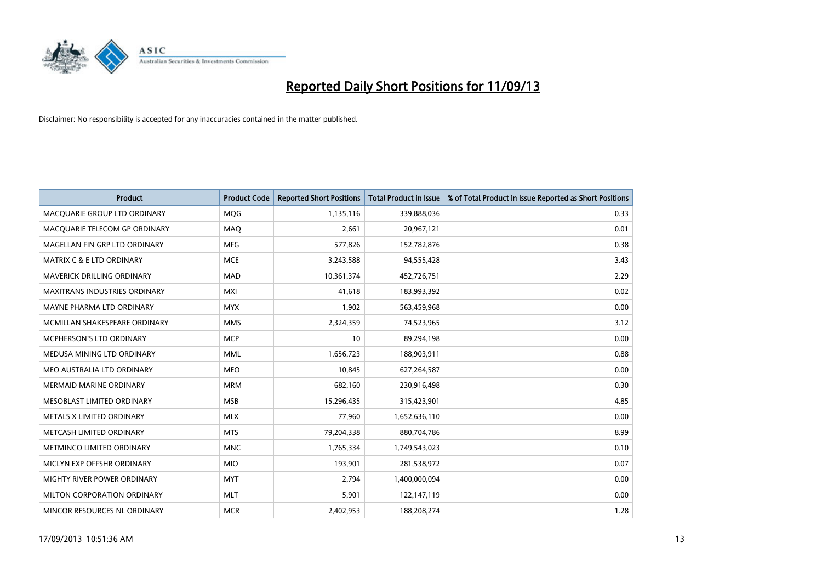

| <b>Product</b>                       | <b>Product Code</b> | <b>Reported Short Positions</b> | <b>Total Product in Issue</b> | % of Total Product in Issue Reported as Short Positions |
|--------------------------------------|---------------------|---------------------------------|-------------------------------|---------------------------------------------------------|
| MACQUARIE GROUP LTD ORDINARY         | <b>MQG</b>          | 1,135,116                       | 339,888,036                   | 0.33                                                    |
| MACQUARIE TELECOM GP ORDINARY        | MAQ                 | 2,661                           | 20,967,121                    | 0.01                                                    |
| MAGELLAN FIN GRP LTD ORDINARY        | <b>MFG</b>          | 577,826                         | 152,782,876                   | 0.38                                                    |
| <b>MATRIX C &amp; E LTD ORDINARY</b> | <b>MCE</b>          | 3,243,588                       | 94,555,428                    | 3.43                                                    |
| MAVERICK DRILLING ORDINARY           | <b>MAD</b>          | 10,361,374                      | 452,726,751                   | 2.29                                                    |
| <b>MAXITRANS INDUSTRIES ORDINARY</b> | <b>MXI</b>          | 41,618                          | 183,993,392                   | 0.02                                                    |
| MAYNE PHARMA LTD ORDINARY            | <b>MYX</b>          | 1,902                           | 563,459,968                   | 0.00                                                    |
| MCMILLAN SHAKESPEARE ORDINARY        | <b>MMS</b>          | 2,324,359                       | 74,523,965                    | 3.12                                                    |
| <b>MCPHERSON'S LTD ORDINARY</b>      | <b>MCP</b>          | 10                              | 89,294,198                    | 0.00                                                    |
| MEDUSA MINING LTD ORDINARY           | <b>MML</b>          | 1,656,723                       | 188,903,911                   | 0.88                                                    |
| MEO AUSTRALIA LTD ORDINARY           | <b>MEO</b>          | 10,845                          | 627,264,587                   | 0.00                                                    |
| <b>MERMAID MARINE ORDINARY</b>       | <b>MRM</b>          | 682,160                         | 230,916,498                   | 0.30                                                    |
| MESOBLAST LIMITED ORDINARY           | <b>MSB</b>          | 15,296,435                      | 315,423,901                   | 4.85                                                    |
| METALS X LIMITED ORDINARY            | <b>MLX</b>          | 77,960                          | 1,652,636,110                 | 0.00                                                    |
| METCASH LIMITED ORDINARY             | <b>MTS</b>          | 79,204,338                      | 880,704,786                   | 8.99                                                    |
| METMINCO LIMITED ORDINARY            | <b>MNC</b>          | 1,765,334                       | 1,749,543,023                 | 0.10                                                    |
| MICLYN EXP OFFSHR ORDINARY           | <b>MIO</b>          | 193,901                         | 281,538,972                   | 0.07                                                    |
| MIGHTY RIVER POWER ORDINARY          | <b>MYT</b>          | 2,794                           | 1,400,000,094                 | 0.00                                                    |
| MILTON CORPORATION ORDINARY          | <b>MLT</b>          | 5,901                           | 122,147,119                   | 0.00                                                    |
| MINCOR RESOURCES NL ORDINARY         | <b>MCR</b>          | 2,402,953                       | 188,208,274                   | 1.28                                                    |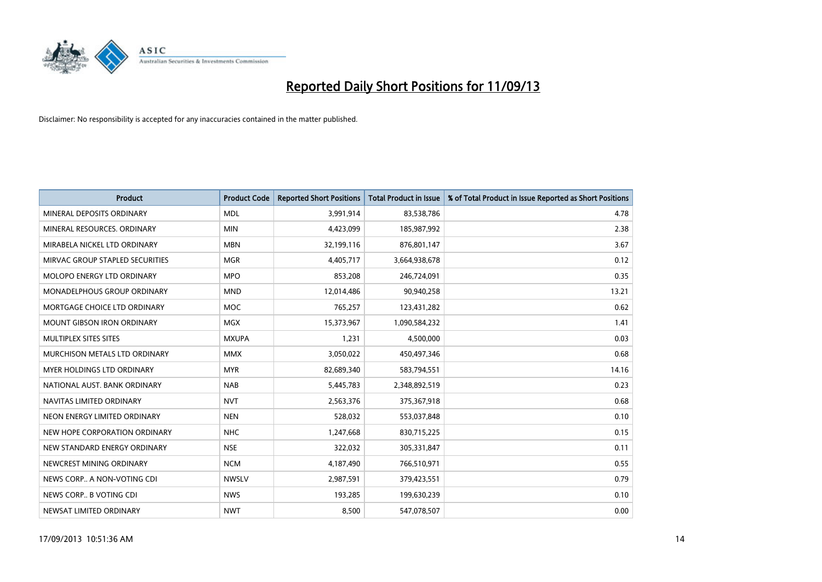

| <b>Product</b>                  | <b>Product Code</b> | <b>Reported Short Positions</b> | <b>Total Product in Issue</b> | % of Total Product in Issue Reported as Short Positions |
|---------------------------------|---------------------|---------------------------------|-------------------------------|---------------------------------------------------------|
| MINERAL DEPOSITS ORDINARY       | <b>MDL</b>          | 3,991,914                       | 83,538,786                    | 4.78                                                    |
| MINERAL RESOURCES, ORDINARY     | <b>MIN</b>          | 4,423,099                       | 185,987,992                   | 2.38                                                    |
| MIRABELA NICKEL LTD ORDINARY    | <b>MBN</b>          | 32,199,116                      | 876,801,147                   | 3.67                                                    |
| MIRVAC GROUP STAPLED SECURITIES | <b>MGR</b>          | 4,405,717                       | 3,664,938,678                 | 0.12                                                    |
| MOLOPO ENERGY LTD ORDINARY      | <b>MPO</b>          | 853,208                         | 246,724,091                   | 0.35                                                    |
| MONADELPHOUS GROUP ORDINARY     | <b>MND</b>          | 12,014,486                      | 90,940,258                    | 13.21                                                   |
| MORTGAGE CHOICE LTD ORDINARY    | <b>MOC</b>          | 765,257                         | 123,431,282                   | 0.62                                                    |
| MOUNT GIBSON IRON ORDINARY      | <b>MGX</b>          | 15,373,967                      | 1,090,584,232                 | 1.41                                                    |
| MULTIPLEX SITES SITES           | <b>MXUPA</b>        | 1,231                           | 4,500,000                     | 0.03                                                    |
| MURCHISON METALS LTD ORDINARY   | <b>MMX</b>          | 3,050,022                       | 450,497,346                   | 0.68                                                    |
| MYER HOLDINGS LTD ORDINARY      | <b>MYR</b>          | 82,689,340                      | 583,794,551                   | 14.16                                                   |
| NATIONAL AUST. BANK ORDINARY    | <b>NAB</b>          | 5,445,783                       | 2,348,892,519                 | 0.23                                                    |
| NAVITAS LIMITED ORDINARY        | <b>NVT</b>          | 2,563,376                       | 375,367,918                   | 0.68                                                    |
| NEON ENERGY LIMITED ORDINARY    | <b>NEN</b>          | 528,032                         | 553,037,848                   | 0.10                                                    |
| NEW HOPE CORPORATION ORDINARY   | <b>NHC</b>          | 1,247,668                       | 830,715,225                   | 0.15                                                    |
| NEW STANDARD ENERGY ORDINARY    | <b>NSE</b>          | 322,032                         | 305,331,847                   | 0.11                                                    |
| NEWCREST MINING ORDINARY        | <b>NCM</b>          | 4,187,490                       | 766,510,971                   | 0.55                                                    |
| NEWS CORP A NON-VOTING CDI      | <b>NWSLV</b>        | 2,987,591                       | 379,423,551                   | 0.79                                                    |
| NEWS CORP B VOTING CDI          | <b>NWS</b>          | 193,285                         | 199,630,239                   | 0.10                                                    |
| NEWSAT LIMITED ORDINARY         | <b>NWT</b>          | 8,500                           | 547,078,507                   | 0.00                                                    |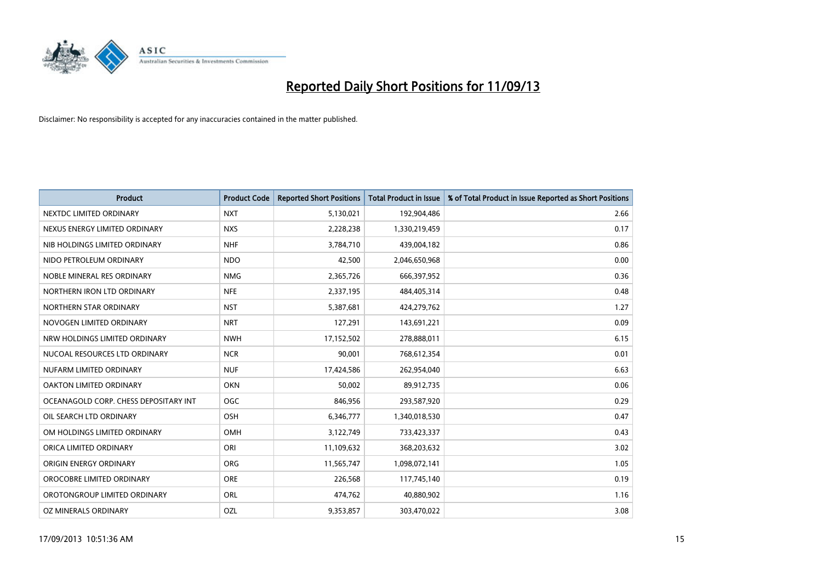

| <b>Product</b>                        | <b>Product Code</b> | <b>Reported Short Positions</b> | <b>Total Product in Issue</b> | % of Total Product in Issue Reported as Short Positions |
|---------------------------------------|---------------------|---------------------------------|-------------------------------|---------------------------------------------------------|
| NEXTDC LIMITED ORDINARY               | <b>NXT</b>          | 5,130,021                       | 192,904,486                   | 2.66                                                    |
| NEXUS ENERGY LIMITED ORDINARY         | <b>NXS</b>          | 2,228,238                       | 1,330,219,459                 | 0.17                                                    |
| NIB HOLDINGS LIMITED ORDINARY         | <b>NHF</b>          | 3,784,710                       | 439,004,182                   | 0.86                                                    |
| NIDO PETROLEUM ORDINARY               | <b>NDO</b>          | 42,500                          | 2,046,650,968                 | 0.00                                                    |
| NOBLE MINERAL RES ORDINARY            | <b>NMG</b>          | 2,365,726                       | 666,397,952                   | 0.36                                                    |
| NORTHERN IRON LTD ORDINARY            | <b>NFE</b>          | 2,337,195                       | 484,405,314                   | 0.48                                                    |
| NORTHERN STAR ORDINARY                | <b>NST</b>          | 5,387,681                       | 424,279,762                   | 1.27                                                    |
| NOVOGEN LIMITED ORDINARY              | <b>NRT</b>          | 127,291                         | 143,691,221                   | 0.09                                                    |
| NRW HOLDINGS LIMITED ORDINARY         | <b>NWH</b>          | 17,152,502                      | 278,888,011                   | 6.15                                                    |
| NUCOAL RESOURCES LTD ORDINARY         | <b>NCR</b>          | 90,001                          | 768,612,354                   | 0.01                                                    |
| NUFARM LIMITED ORDINARY               | <b>NUF</b>          | 17,424,586                      | 262,954,040                   | 6.63                                                    |
| <b>OAKTON LIMITED ORDINARY</b>        | <b>OKN</b>          | 50,002                          | 89,912,735                    | 0.06                                                    |
| OCEANAGOLD CORP. CHESS DEPOSITARY INT | <b>OGC</b>          | 846,956                         | 293,587,920                   | 0.29                                                    |
| OIL SEARCH LTD ORDINARY               | OSH                 | 6,346,777                       | 1,340,018,530                 | 0.47                                                    |
| OM HOLDINGS LIMITED ORDINARY          | OMH                 | 3,122,749                       | 733,423,337                   | 0.43                                                    |
| ORICA LIMITED ORDINARY                | ORI                 | 11,109,632                      | 368,203,632                   | 3.02                                                    |
| ORIGIN ENERGY ORDINARY                | ORG                 | 11,565,747                      | 1,098,072,141                 | 1.05                                                    |
| OROCOBRE LIMITED ORDINARY             | <b>ORE</b>          | 226,568                         | 117,745,140                   | 0.19                                                    |
| OROTONGROUP LIMITED ORDINARY          | ORL                 | 474,762                         | 40,880,902                    | 1.16                                                    |
| OZ MINERALS ORDINARY                  | OZL                 | 9,353,857                       | 303,470,022                   | 3.08                                                    |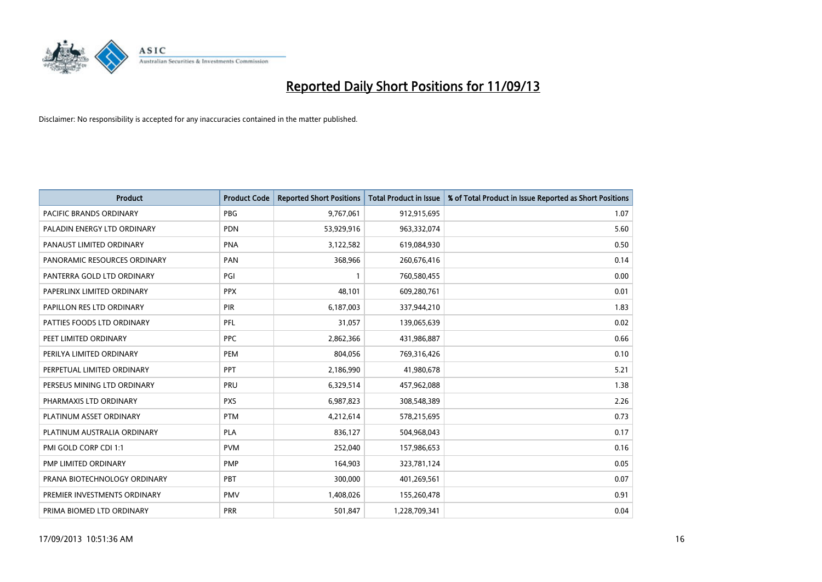

| <b>Product</b>                 | <b>Product Code</b> | <b>Reported Short Positions</b> | <b>Total Product in Issue</b> | % of Total Product in Issue Reported as Short Positions |
|--------------------------------|---------------------|---------------------------------|-------------------------------|---------------------------------------------------------|
| <b>PACIFIC BRANDS ORDINARY</b> | <b>PBG</b>          | 9,767,061                       | 912,915,695                   | 1.07                                                    |
| PALADIN ENERGY LTD ORDINARY    | <b>PDN</b>          | 53,929,916                      | 963,332,074                   | 5.60                                                    |
| PANAUST LIMITED ORDINARY       | <b>PNA</b>          | 3,122,582                       | 619,084,930                   | 0.50                                                    |
| PANORAMIC RESOURCES ORDINARY   | PAN                 | 368,966                         | 260,676,416                   | 0.14                                                    |
| PANTERRA GOLD LTD ORDINARY     | PGI                 | $\mathbf{1}$                    | 760,580,455                   | 0.00                                                    |
| PAPERLINX LIMITED ORDINARY     | <b>PPX</b>          | 48,101                          | 609,280,761                   | 0.01                                                    |
| PAPILLON RES LTD ORDINARY      | <b>PIR</b>          | 6,187,003                       | 337,944,210                   | 1.83                                                    |
| PATTIES FOODS LTD ORDINARY     | PFL                 | 31,057                          | 139,065,639                   | 0.02                                                    |
| PEET LIMITED ORDINARY          | <b>PPC</b>          | 2,862,366                       | 431,986,887                   | 0.66                                                    |
| PERILYA LIMITED ORDINARY       | PEM                 | 804,056                         | 769,316,426                   | 0.10                                                    |
| PERPETUAL LIMITED ORDINARY     | PPT                 | 2,186,990                       | 41,980,678                    | 5.21                                                    |
| PERSEUS MINING LTD ORDINARY    | <b>PRU</b>          | 6,329,514                       | 457,962,088                   | 1.38                                                    |
| PHARMAXIS LTD ORDINARY         | <b>PXS</b>          | 6,987,823                       | 308,548,389                   | 2.26                                                    |
| PLATINUM ASSET ORDINARY        | <b>PTM</b>          | 4,212,614                       | 578,215,695                   | 0.73                                                    |
| PLATINUM AUSTRALIA ORDINARY    | <b>PLA</b>          | 836,127                         | 504,968,043                   | 0.17                                                    |
| PMI GOLD CORP CDI 1:1          | <b>PVM</b>          | 252,040                         | 157,986,653                   | 0.16                                                    |
| PMP LIMITED ORDINARY           | <b>PMP</b>          | 164,903                         | 323,781,124                   | 0.05                                                    |
| PRANA BIOTECHNOLOGY ORDINARY   | PBT                 | 300,000                         | 401,269,561                   | 0.07                                                    |
| PREMIER INVESTMENTS ORDINARY   | <b>PMV</b>          | 1,408,026                       | 155,260,478                   | 0.91                                                    |
| PRIMA BIOMED LTD ORDINARY      | <b>PRR</b>          | 501,847                         | 1,228,709,341                 | 0.04                                                    |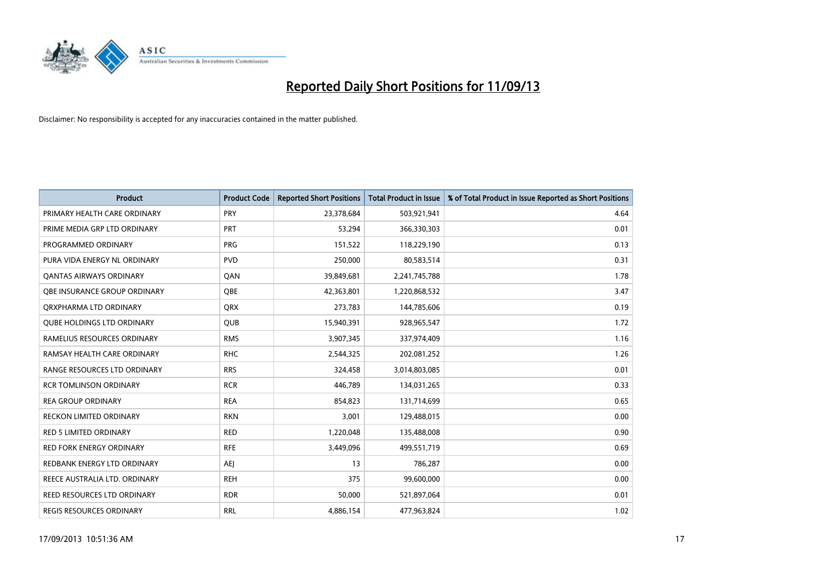

| <b>Product</b>                     | <b>Product Code</b> | <b>Reported Short Positions</b> | <b>Total Product in Issue</b> | % of Total Product in Issue Reported as Short Positions |
|------------------------------------|---------------------|---------------------------------|-------------------------------|---------------------------------------------------------|
| PRIMARY HEALTH CARE ORDINARY       | PRY                 | 23,378,684                      | 503,921,941                   | 4.64                                                    |
| PRIME MEDIA GRP LTD ORDINARY       | <b>PRT</b>          | 53,294                          | 366,330,303                   | 0.01                                                    |
| PROGRAMMED ORDINARY                | <b>PRG</b>          | 151,522                         | 118,229,190                   | 0.13                                                    |
| PURA VIDA ENERGY NL ORDINARY       | <b>PVD</b>          | 250,000                         | 80,583,514                    | 0.31                                                    |
| OANTAS AIRWAYS ORDINARY            | QAN                 | 39,849,681                      | 2,241,745,788                 | 1.78                                                    |
| OBE INSURANCE GROUP ORDINARY       | <b>OBE</b>          | 42,363,801                      | 1,220,868,532                 | 3.47                                                    |
| ORXPHARMA LTD ORDINARY             | <b>QRX</b>          | 273,783                         | 144,785,606                   | 0.19                                                    |
| <b>QUBE HOLDINGS LTD ORDINARY</b>  | QUB                 | 15,940,391                      | 928,965,547                   | 1.72                                                    |
| RAMELIUS RESOURCES ORDINARY        | <b>RMS</b>          | 3,907,345                       | 337,974,409                   | 1.16                                                    |
| RAMSAY HEALTH CARE ORDINARY        | <b>RHC</b>          | 2,544,325                       | 202,081,252                   | 1.26                                                    |
| RANGE RESOURCES LTD ORDINARY       | <b>RRS</b>          | 324,458                         | 3,014,803,085                 | 0.01                                                    |
| <b>RCR TOMLINSON ORDINARY</b>      | <b>RCR</b>          | 446,789                         | 134,031,265                   | 0.33                                                    |
| <b>REA GROUP ORDINARY</b>          | <b>REA</b>          | 854,823                         | 131,714,699                   | 0.65                                                    |
| <b>RECKON LIMITED ORDINARY</b>     | <b>RKN</b>          | 3,001                           | 129,488,015                   | 0.00                                                    |
| <b>RED 5 LIMITED ORDINARY</b>      | <b>RED</b>          | 1,220,048                       | 135,488,008                   | 0.90                                                    |
| <b>RED FORK ENERGY ORDINARY</b>    | <b>RFE</b>          | 3,449,096                       | 499,551,719                   | 0.69                                                    |
| REDBANK ENERGY LTD ORDINARY        | <b>AEJ</b>          | 13                              | 786,287                       | 0.00                                                    |
| REECE AUSTRALIA LTD. ORDINARY      | <b>REH</b>          | 375                             | 99,600,000                    | 0.00                                                    |
| <b>REED RESOURCES LTD ORDINARY</b> | <b>RDR</b>          | 50,000                          | 521,897,064                   | 0.01                                                    |
| <b>REGIS RESOURCES ORDINARY</b>    | <b>RRL</b>          | 4,886,154                       | 477,963,824                   | 1.02                                                    |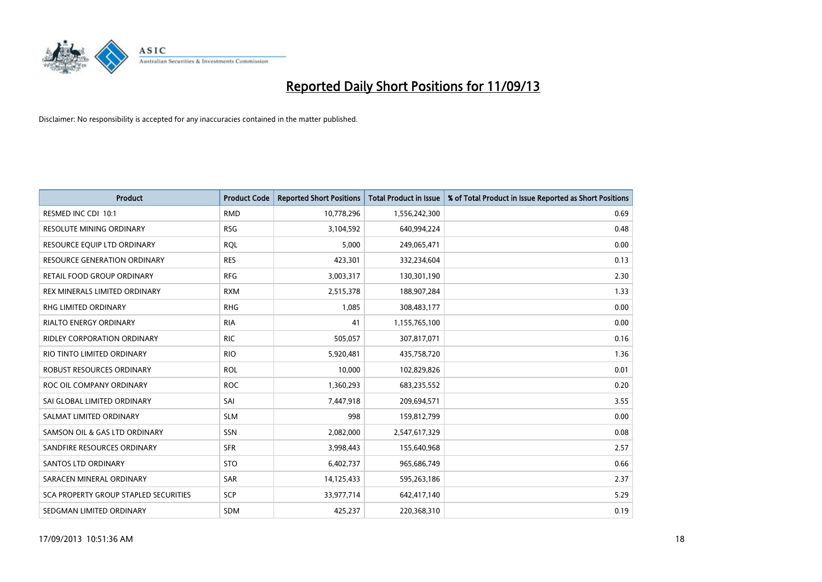

| <b>Product</b>                        | <b>Product Code</b> | <b>Reported Short Positions</b> | <b>Total Product in Issue</b> | % of Total Product in Issue Reported as Short Positions |
|---------------------------------------|---------------------|---------------------------------|-------------------------------|---------------------------------------------------------|
| RESMED INC CDI 10:1                   | <b>RMD</b>          | 10,778,296                      | 1,556,242,300                 | 0.69                                                    |
| RESOLUTE MINING ORDINARY              | <b>RSG</b>          | 3,104,592                       | 640,994,224                   | 0.48                                                    |
| RESOURCE EQUIP LTD ORDINARY           | <b>RQL</b>          | 5,000                           | 249,065,471                   | 0.00                                                    |
| RESOURCE GENERATION ORDINARY          | <b>RES</b>          | 423,301                         | 332,234,604                   | 0.13                                                    |
| <b>RETAIL FOOD GROUP ORDINARY</b>     | <b>RFG</b>          | 3,003,317                       | 130,301,190                   | 2.30                                                    |
| REX MINERALS LIMITED ORDINARY         | <b>RXM</b>          | 2,515,378                       | 188,907,284                   | 1.33                                                    |
| RHG LIMITED ORDINARY                  | <b>RHG</b>          | 1,085                           | 308,483,177                   | 0.00                                                    |
| RIALTO ENERGY ORDINARY                | <b>RIA</b>          | 41                              | 1,155,765,100                 | 0.00                                                    |
| <b>RIDLEY CORPORATION ORDINARY</b>    | <b>RIC</b>          | 505,057                         | 307,817,071                   | 0.16                                                    |
| RIO TINTO LIMITED ORDINARY            | <b>RIO</b>          | 5,920,481                       | 435,758,720                   | 1.36                                                    |
| ROBUST RESOURCES ORDINARY             | <b>ROL</b>          | 10,000                          | 102,829,826                   | 0.01                                                    |
| ROC OIL COMPANY ORDINARY              | <b>ROC</b>          | 1,360,293                       | 683,235,552                   | 0.20                                                    |
| SAI GLOBAL LIMITED ORDINARY           | SAI                 | 7,447,918                       | 209,694,571                   | 3.55                                                    |
| SALMAT LIMITED ORDINARY               | <b>SLM</b>          | 998                             | 159,812,799                   | 0.00                                                    |
| SAMSON OIL & GAS LTD ORDINARY         | SSN                 | 2,082,000                       | 2,547,617,329                 | 0.08                                                    |
| SANDFIRE RESOURCES ORDINARY           | <b>SFR</b>          | 3,998,443                       | 155,640,968                   | 2.57                                                    |
| <b>SANTOS LTD ORDINARY</b>            | <b>STO</b>          | 6,402,737                       | 965,686,749                   | 0.66                                                    |
| SARACEN MINERAL ORDINARY              | <b>SAR</b>          | 14,125,433                      | 595,263,186                   | 2.37                                                    |
| SCA PROPERTY GROUP STAPLED SECURITIES | <b>SCP</b>          | 33,977,714                      | 642,417,140                   | 5.29                                                    |
| SEDGMAN LIMITED ORDINARY              | <b>SDM</b>          | 425,237                         | 220,368,310                   | 0.19                                                    |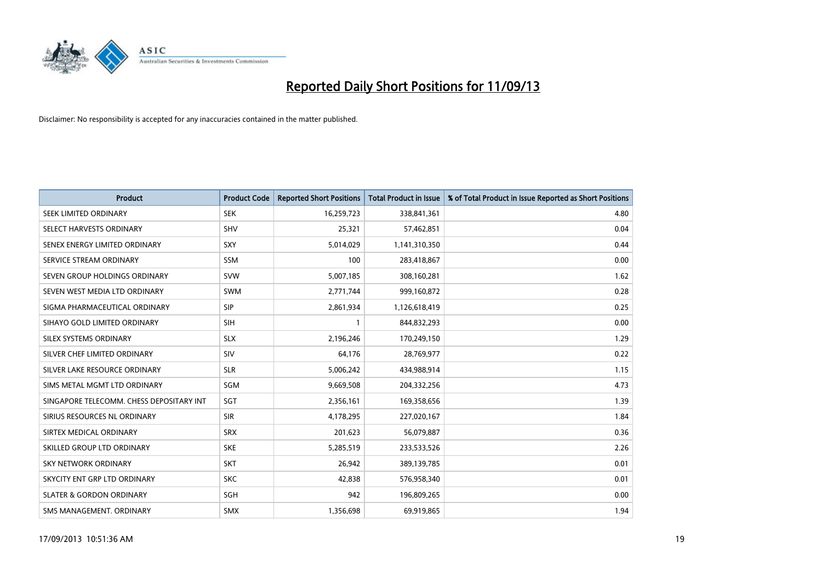

| <b>Product</b>                           | <b>Product Code</b> | <b>Reported Short Positions</b> | <b>Total Product in Issue</b> | % of Total Product in Issue Reported as Short Positions |
|------------------------------------------|---------------------|---------------------------------|-------------------------------|---------------------------------------------------------|
| SEEK LIMITED ORDINARY                    | <b>SEK</b>          | 16,259,723                      | 338,841,361                   | 4.80                                                    |
| SELECT HARVESTS ORDINARY                 | SHV                 | 25,321                          | 57,462,851                    | 0.04                                                    |
| SENEX ENERGY LIMITED ORDINARY            | <b>SXY</b>          | 5,014,029                       | 1,141,310,350                 | 0.44                                                    |
| SERVICE STREAM ORDINARY                  | <b>SSM</b>          | 100                             | 283,418,867                   | 0.00                                                    |
| SEVEN GROUP HOLDINGS ORDINARY            | <b>SVW</b>          | 5,007,185                       | 308,160,281                   | 1.62                                                    |
| SEVEN WEST MEDIA LTD ORDINARY            | <b>SWM</b>          | 2,771,744                       | 999,160,872                   | 0.28                                                    |
| SIGMA PHARMACEUTICAL ORDINARY            | <b>SIP</b>          | 2,861,934                       | 1,126,618,419                 | 0.25                                                    |
| SIHAYO GOLD LIMITED ORDINARY             | <b>SIH</b>          | $\mathbf{1}$                    | 844,832,293                   | 0.00                                                    |
| SILEX SYSTEMS ORDINARY                   | <b>SLX</b>          | 2,196,246                       | 170,249,150                   | 1.29                                                    |
| SILVER CHEF LIMITED ORDINARY             | SIV                 | 64,176                          | 28,769,977                    | 0.22                                                    |
| SILVER LAKE RESOURCE ORDINARY            | <b>SLR</b>          | 5,006,242                       | 434,988,914                   | 1.15                                                    |
| SIMS METAL MGMT LTD ORDINARY             | SGM                 | 9,669,508                       | 204,332,256                   | 4.73                                                    |
| SINGAPORE TELECOMM. CHESS DEPOSITARY INT | SGT                 | 2,356,161                       | 169,358,656                   | 1.39                                                    |
| SIRIUS RESOURCES NL ORDINARY             | <b>SIR</b>          | 4,178,295                       | 227,020,167                   | 1.84                                                    |
| SIRTEX MEDICAL ORDINARY                  | <b>SRX</b>          | 201,623                         | 56,079,887                    | 0.36                                                    |
| SKILLED GROUP LTD ORDINARY               | <b>SKE</b>          | 5,285,519                       | 233,533,526                   | 2.26                                                    |
| SKY NETWORK ORDINARY                     | <b>SKT</b>          | 26,942                          | 389,139,785                   | 0.01                                                    |
| SKYCITY ENT GRP LTD ORDINARY             | <b>SKC</b>          | 42,838                          | 576,958,340                   | 0.01                                                    |
| <b>SLATER &amp; GORDON ORDINARY</b>      | SGH                 | 942                             | 196,809,265                   | 0.00                                                    |
| SMS MANAGEMENT, ORDINARY                 | <b>SMX</b>          | 1,356,698                       | 69,919,865                    | 1.94                                                    |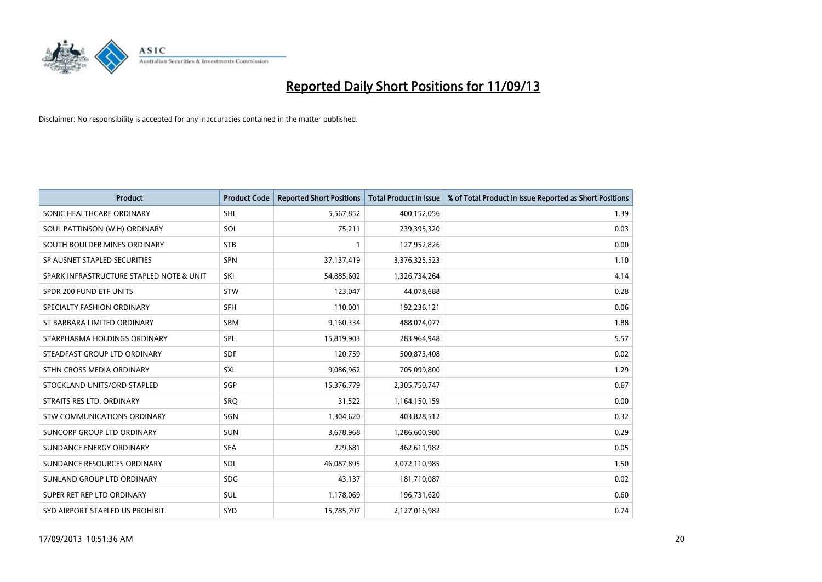

| <b>Product</b>                           | <b>Product Code</b> | <b>Reported Short Positions</b> | <b>Total Product in Issue</b> | % of Total Product in Issue Reported as Short Positions |
|------------------------------------------|---------------------|---------------------------------|-------------------------------|---------------------------------------------------------|
| SONIC HEALTHCARE ORDINARY                | <b>SHL</b>          | 5,567,852                       | 400,152,056                   | 1.39                                                    |
| SOUL PATTINSON (W.H) ORDINARY            | SOL                 | 75,211                          | 239,395,320                   | 0.03                                                    |
| SOUTH BOULDER MINES ORDINARY             | <b>STB</b>          | $\mathbf{1}$                    | 127,952,826                   | 0.00                                                    |
| SP AUSNET STAPLED SECURITIES             | SPN                 | 37,137,419                      | 3,376,325,523                 | 1.10                                                    |
| SPARK INFRASTRUCTURE STAPLED NOTE & UNIT | SKI                 | 54,885,602                      | 1,326,734,264                 | 4.14                                                    |
| SPDR 200 FUND ETF UNITS                  | <b>STW</b>          | 123,047                         | 44,078,688                    | 0.28                                                    |
| SPECIALTY FASHION ORDINARY               | <b>SFH</b>          | 110,001                         | 192,236,121                   | 0.06                                                    |
| ST BARBARA LIMITED ORDINARY              | <b>SBM</b>          | 9,160,334                       | 488,074,077                   | 1.88                                                    |
| STARPHARMA HOLDINGS ORDINARY             | SPL                 | 15,819,903                      | 283,964,948                   | 5.57                                                    |
| STEADFAST GROUP LTD ORDINARY             | <b>SDF</b>          | 120,759                         | 500,873,408                   | 0.02                                                    |
| STHN CROSS MEDIA ORDINARY                | <b>SXL</b>          | 9,086,962                       | 705,099,800                   | 1.29                                                    |
| STOCKLAND UNITS/ORD STAPLED              | SGP                 | 15,376,779                      | 2,305,750,747                 | 0.67                                                    |
| STRAITS RES LTD. ORDINARY                | SRO                 | 31,522                          | 1,164,150,159                 | 0.00                                                    |
| STW COMMUNICATIONS ORDINARY              | SGN                 | 1,304,620                       | 403,828,512                   | 0.32                                                    |
| <b>SUNCORP GROUP LTD ORDINARY</b>        | <b>SUN</b>          | 3,678,968                       | 1,286,600,980                 | 0.29                                                    |
| SUNDANCE ENERGY ORDINARY                 | <b>SEA</b>          | 229,681                         | 462,611,982                   | 0.05                                                    |
| SUNDANCE RESOURCES ORDINARY              | SDL                 | 46,087,895                      | 3,072,110,985                 | 1.50                                                    |
| SUNLAND GROUP LTD ORDINARY               | <b>SDG</b>          | 43,137                          | 181,710,087                   | 0.02                                                    |
| SUPER RET REP LTD ORDINARY               | SUL                 | 1,178,069                       | 196,731,620                   | 0.60                                                    |
| SYD AIRPORT STAPLED US PROHIBIT.         | <b>SYD</b>          | 15,785,797                      | 2,127,016,982                 | 0.74                                                    |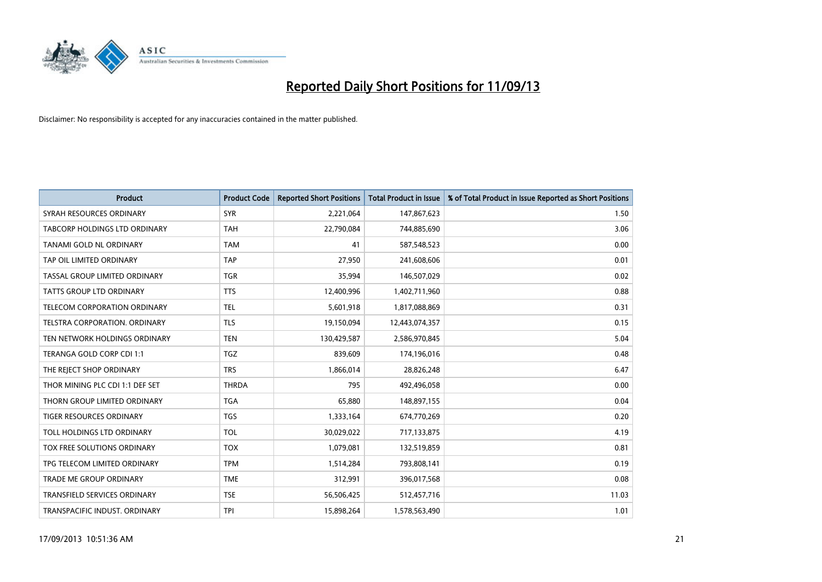

| <b>Product</b>                      | <b>Product Code</b> | <b>Reported Short Positions</b> | <b>Total Product in Issue</b> | % of Total Product in Issue Reported as Short Positions |
|-------------------------------------|---------------------|---------------------------------|-------------------------------|---------------------------------------------------------|
| SYRAH RESOURCES ORDINARY            | <b>SYR</b>          | 2,221,064                       | 147,867,623                   | 1.50                                                    |
| TABCORP HOLDINGS LTD ORDINARY       | <b>TAH</b>          | 22,790,084                      | 744,885,690                   | 3.06                                                    |
| TANAMI GOLD NL ORDINARY             | <b>TAM</b>          | 41                              | 587,548,523                   | 0.00                                                    |
| TAP OIL LIMITED ORDINARY            | <b>TAP</b>          | 27,950                          | 241,608,606                   | 0.01                                                    |
| TASSAL GROUP LIMITED ORDINARY       | <b>TGR</b>          | 35,994                          | 146,507,029                   | 0.02                                                    |
| <b>TATTS GROUP LTD ORDINARY</b>     | <b>TTS</b>          | 12,400,996                      | 1,402,711,960                 | 0.88                                                    |
| <b>TELECOM CORPORATION ORDINARY</b> | <b>TEL</b>          | 5,601,918                       | 1,817,088,869                 | 0.31                                                    |
| TELSTRA CORPORATION, ORDINARY       | <b>TLS</b>          | 19,150,094                      | 12,443,074,357                | 0.15                                                    |
| TEN NETWORK HOLDINGS ORDINARY       | <b>TEN</b>          | 130,429,587                     | 2,586,970,845                 | 5.04                                                    |
| TERANGA GOLD CORP CDI 1:1           | <b>TGZ</b>          | 839,609                         | 174,196,016                   | 0.48                                                    |
| THE REJECT SHOP ORDINARY            | <b>TRS</b>          | 1,866,014                       | 28,826,248                    | 6.47                                                    |
| THOR MINING PLC CDI 1:1 DEF SET     | <b>THRDA</b>        | 795                             | 492,496,058                   | 0.00                                                    |
| THORN GROUP LIMITED ORDINARY        | <b>TGA</b>          | 65.880                          | 148,897,155                   | 0.04                                                    |
| <b>TIGER RESOURCES ORDINARY</b>     | <b>TGS</b>          | 1,333,164                       | 674,770,269                   | 0.20                                                    |
| TOLL HOLDINGS LTD ORDINARY          | <b>TOL</b>          | 30,029,022                      | 717,133,875                   | 4.19                                                    |
| TOX FREE SOLUTIONS ORDINARY         | <b>TOX</b>          | 1,079,081                       | 132,519,859                   | 0.81                                                    |
| TPG TELECOM LIMITED ORDINARY        | <b>TPM</b>          | 1,514,284                       | 793,808,141                   | 0.19                                                    |
| TRADE ME GROUP ORDINARY             | <b>TME</b>          | 312,991                         | 396,017,568                   | 0.08                                                    |
| <b>TRANSFIELD SERVICES ORDINARY</b> | <b>TSE</b>          | 56,506,425                      | 512,457,716                   | 11.03                                                   |
| TRANSPACIFIC INDUST, ORDINARY       | <b>TPI</b>          | 15,898,264                      | 1,578,563,490                 | 1.01                                                    |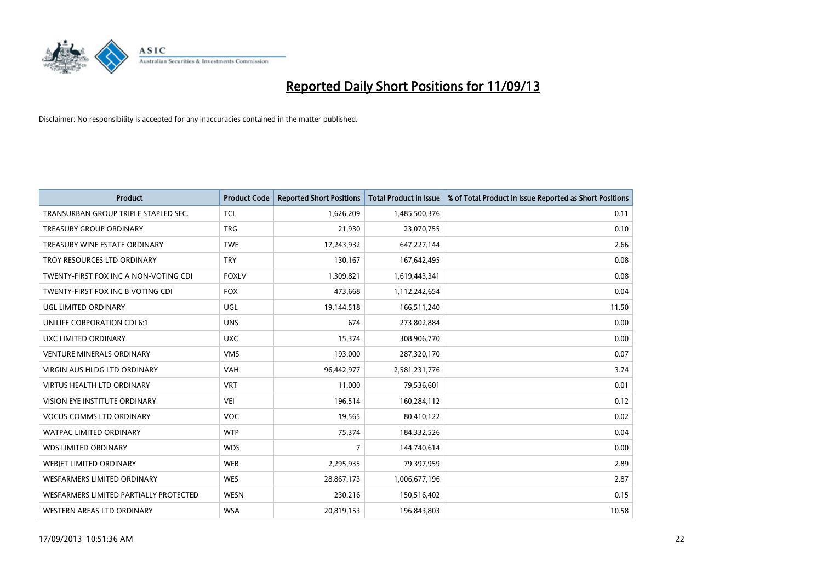

| <b>Product</b>                         | <b>Product Code</b> | <b>Reported Short Positions</b> | <b>Total Product in Issue</b> | % of Total Product in Issue Reported as Short Positions |
|----------------------------------------|---------------------|---------------------------------|-------------------------------|---------------------------------------------------------|
| TRANSURBAN GROUP TRIPLE STAPLED SEC.   | <b>TCL</b>          | 1,626,209                       | 1,485,500,376                 | 0.11                                                    |
| <b>TREASURY GROUP ORDINARY</b>         | <b>TRG</b>          | 21,930                          | 23,070,755                    | 0.10                                                    |
| TREASURY WINE ESTATE ORDINARY          | <b>TWE</b>          | 17,243,932                      | 647,227,144                   | 2.66                                                    |
| TROY RESOURCES LTD ORDINARY            | <b>TRY</b>          | 130.167                         | 167,642,495                   | 0.08                                                    |
| TWENTY-FIRST FOX INC A NON-VOTING CDI  | <b>FOXLV</b>        | 1,309,821                       | 1,619,443,341                 | 0.08                                                    |
| TWENTY-FIRST FOX INC B VOTING CDI      | <b>FOX</b>          | 473,668                         | 1,112,242,654                 | 0.04                                                    |
| UGL LIMITED ORDINARY                   | UGL                 | 19,144,518                      | 166,511,240                   | 11.50                                                   |
| UNILIFE CORPORATION CDI 6:1            | <b>UNS</b>          | 674                             | 273,802,884                   | 0.00                                                    |
| UXC LIMITED ORDINARY                   | <b>UXC</b>          | 15,374                          | 308,906,770                   | 0.00                                                    |
| <b>VENTURE MINERALS ORDINARY</b>       | <b>VMS</b>          | 193,000                         | 287,320,170                   | 0.07                                                    |
| VIRGIN AUS HLDG LTD ORDINARY           | VAH                 | 96,442,977                      | 2,581,231,776                 | 3.74                                                    |
| <b>VIRTUS HEALTH LTD ORDINARY</b>      | <b>VRT</b>          | 11,000                          | 79,536,601                    | 0.01                                                    |
| <b>VISION EYE INSTITUTE ORDINARY</b>   | <b>VEI</b>          | 196,514                         | 160,284,112                   | 0.12                                                    |
| <b>VOCUS COMMS LTD ORDINARY</b>        | <b>VOC</b>          | 19,565                          | 80,410,122                    | 0.02                                                    |
| <b>WATPAC LIMITED ORDINARY</b>         | <b>WTP</b>          | 75,374                          | 184,332,526                   | 0.04                                                    |
| <b>WDS LIMITED ORDINARY</b>            | <b>WDS</b>          | $\overline{7}$                  | 144,740,614                   | 0.00                                                    |
| WEBIET LIMITED ORDINARY                | <b>WEB</b>          | 2,295,935                       | 79,397,959                    | 2.89                                                    |
| <b>WESFARMERS LIMITED ORDINARY</b>     | <b>WES</b>          | 28,867,173                      | 1,006,677,196                 | 2.87                                                    |
| WESFARMERS LIMITED PARTIALLY PROTECTED | <b>WESN</b>         | 230,216                         | 150,516,402                   | 0.15                                                    |
| WESTERN AREAS LTD ORDINARY             | <b>WSA</b>          | 20,819,153                      | 196,843,803                   | 10.58                                                   |